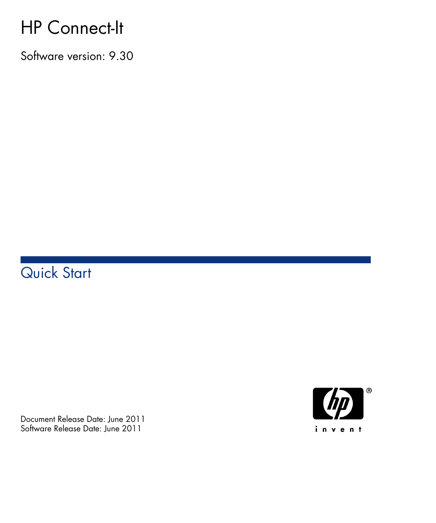# HP Connect-It

Software version: 9.30

# Quick Start

Document Release Date: June 2011 Software Release Date: June 2011

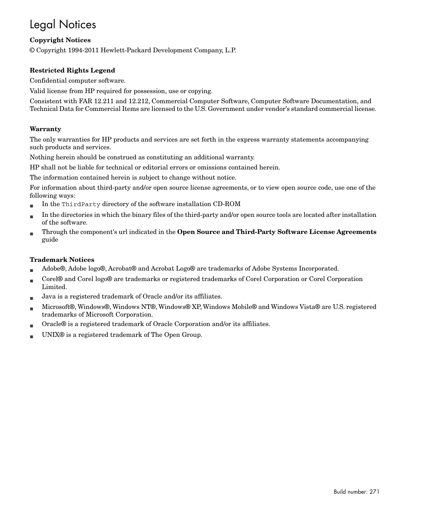# Legal Notices

#### **Copyright Notices**

© Copyright 1994-2011 Hewlett-Packard Development Company, L.P.

#### **Restricted Rights Legend**

Confidential computer software.

Valid license from HP required for possession, use or copying.

Consistent with FAR 12.211 and 12.212, Commercial Computer Software, Computer Software Documentation, and Technical Data for Commercial Items are licensed to the U.S. Government under vendor's standard commercial license.

#### **Warranty**

The only warranties for HP products and services are set forth in the express warranty statements accompanying such products and services.

Nothing herein should be construed as constituting an additional warranty.

HP shall not be liable for technical or editorial errors or omissions contained herein.

The information contained herein is subject to change without notice.

For information about third-party and/or open source license agreements, or to view open source code, use one of the following ways:

- <sup>n</sup> In the ThirdParty directory of the software installation CD-ROM
- n In the directories in which the binary files of the third-party and/or open source tools are located after installation of the software.
- n Through the component's url indicated in the **Open Source and Third-Party Software License Agreements** guide

#### **Trademark Notices**

- n Adobe®, Adobe logo®, Acrobat® and Acrobat Logo® are trademarks of Adobe Systems Incorporated.
- n Corel® and Corel logo® are trademarks or registered trademarks of Corel Corporation or Corel Corporation Limited.
- Java is a registered trademark of Oracle and/or its affiliates.
- n Microsoft®, Windows®, Windows NT®, Windows® XP, Windows Mobile® and Windows Vista® are U.S. registered trademarks of Microsoft Corporation.
- Oracle® is a registered trademark of Oracle Corporation and/or its affiliates.
- UNIX<sup>®</sup> is a registered trademark of The Open Group.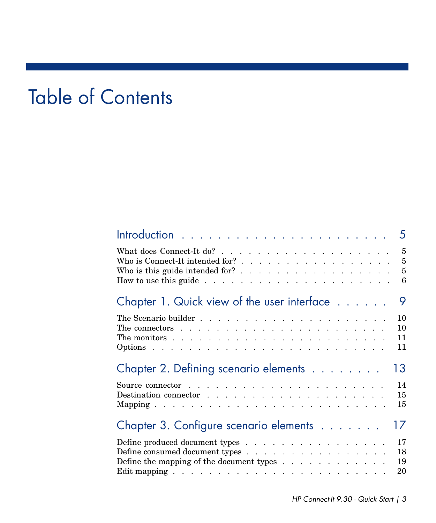# Table of Contents

|                                                                                                        | 5   |
|--------------------------------------------------------------------------------------------------------|-----|
|                                                                                                        | 5   |
|                                                                                                        | 5   |
|                                                                                                        | - 6 |
| Chapter 1. Quick view of the user interface                                                            | 9   |
|                                                                                                        | 10  |
| The connectors $\ldots$ $\ldots$ $\ldots$ $\ldots$ $\ldots$ $\ldots$ $\ldots$ $\ldots$ $\ldots$        | 10  |
| The monitors $\ldots$ $\ldots$ $\ldots$ $\ldots$ $\ldots$ $\ldots$ $\ldots$ $\ldots$ $\ldots$ $\ldots$ | 11  |
|                                                                                                        | 11  |
| Chapter 2. Defining scenario elements                                                                  | 13  |
|                                                                                                        | 14  |
|                                                                                                        | 15  |
|                                                                                                        | 15  |
| Chapter 3. Configure scenario elements                                                                 | 17  |
| Define produced document types                                                                         | 17  |
| Define consumed document types                                                                         | 18  |
|                                                                                                        | 19  |
|                                                                                                        | 20  |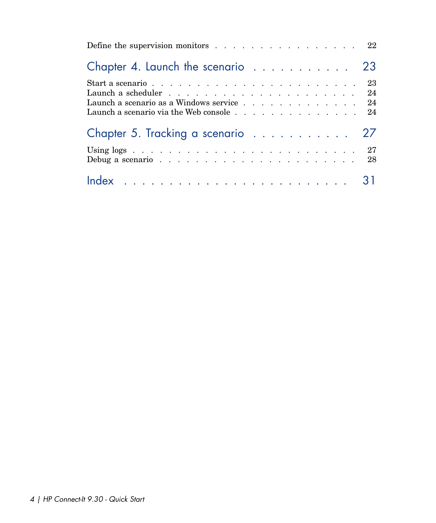| Define the supervision monitors $\dots$ 22                                                                                                                                                             |  |
|--------------------------------------------------------------------------------------------------------------------------------------------------------------------------------------------------------|--|
| Chapter 4. Launch the scenario 23                                                                                                                                                                      |  |
| Start a scenario $\ldots$ $\ldots$ $\ldots$ $\ldots$ $\ldots$ $\ldots$ $\ldots$ $\ldots$ $\ldots$ $\ldots$ 23<br>Launch a scenario as a Windows service 24<br>Launch a scenario via the Web console 24 |  |
| Chapter 5. Tracking a scenario 27                                                                                                                                                                      |  |
|                                                                                                                                                                                                        |  |
|                                                                                                                                                                                                        |  |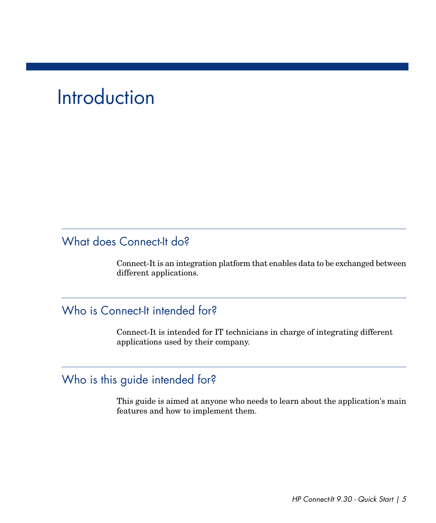# **Introduction**

# <span id="page-4-0"></span>What does Connect-It do?

<span id="page-4-1"></span>Connect-It is an integration platform that enables data to be exchanged between different applications.

### Who is Connect-It intended for?

<span id="page-4-2"></span>Connect-It is intended for IT technicians in charge of integrating different applications used by their company.

#### Who is this guide intended for?

This guide is aimed at anyone who needs to learn about the application's main features and how to implement them.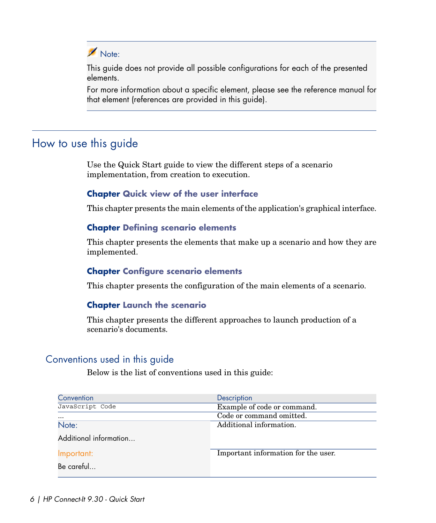## Note:

This guide does not provide all possible configurations for each of the presented elements.

<span id="page-5-0"></span>For more information about a specific element, please see the reference manual for that element (references are provided in this guide).

#### How to use this guide

Use the Quick Start guide to view the different steps of a scenario implementation, from creation to execution.

# **Chapter [Quick view of the user interface](#page-8-0)**

This chapter presents the main elements of the application's graphical interface.

#### **Chapter [Defining scenario elements](#page-12-0)**

This chapter presents the elements that make up a scenario and how they are implemented.

#### **Chapter [Configure scenario elements](#page-16-0)**

This chapter presents the configuration of the main elements of a scenario.

#### **Chapter [Launch the scenario](#page-22-0)**

This chapter presents the different approaches to launch production of a scenario's documents.

#### Conventions used in this guide

Below is the list of conventions used in this guide:

| Convention             | Description                         |
|------------------------|-------------------------------------|
| JavaScript Code        | Example of code or command.         |
| $\cdots$               | Code or command omitted.            |
| Note:                  | Additional information.             |
| Additional information |                                     |
| Important:             | Important information for the user. |
| Be careful             |                                     |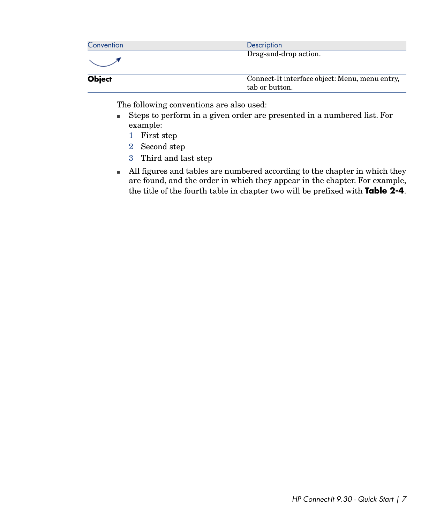| Convention    | Description                                    |
|---------------|------------------------------------------------|
|               | Drag-and-drop action.                          |
|               |                                                |
| <b>Object</b> | Connect-It interface object: Menu, menu entry, |
|               | tah or button                                  |

The following conventions are also used:

- <sup>n</sup> Steps to perform in a given order are presented in a numbered list. For example:
	- 1 First step
	- 2 Second step
	- 3 Third and last step
- n All figures and tables are numbered according to the chapter in which they are found, and the order in which they appear in the chapter. For example, the title of the fourth table in chapter two will be prefixed with **Table 2-4**.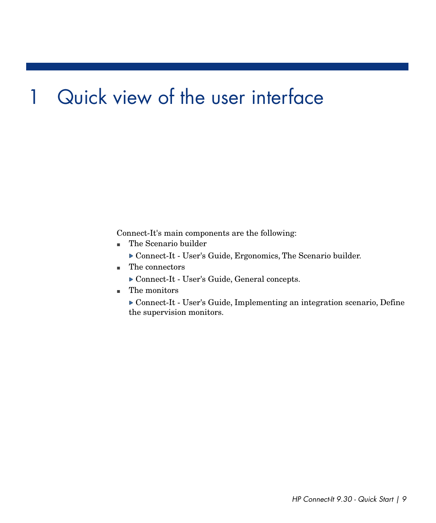# 1 Quick view of the user interface

<span id="page-8-0"></span>Connect-It's main components are the following:

- <sup>n</sup> The Scenario builder
	- Connect-It User's Guide, Ergonomics, The Scenario builder.
- <sup>n</sup> The connectors
	- Connect-It User's Guide, General concepts.
- $\blacksquare$  The monitors
	- Connect-It User's Guide, Implementing an integration scenario, Define the supervision monitors.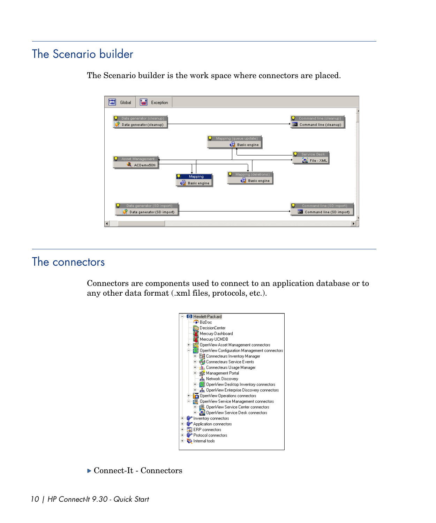# The Scenario builder



<span id="page-9-0"></span>The Scenario builder is the work space where connectors are placed.

# <span id="page-9-1"></span>The connectors

Connectors are components used to connect to an application database or to any other data format (.xml files, protocols, etc.).



▶ Connect-It - Connectors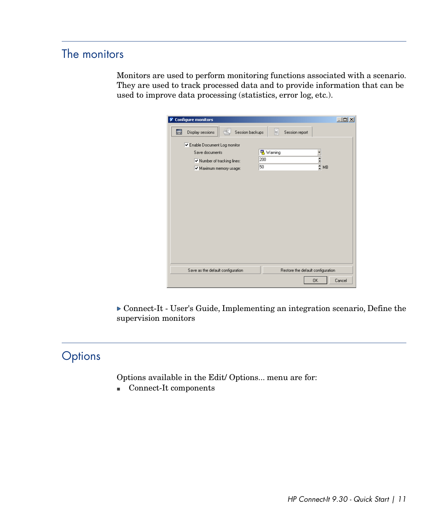# The monitors

<span id="page-10-0"></span>Monitors are used to perform monitoring functions associated with a scenario. They are used to track processed data and to provide information that can be used to improve data processing (statistics, error log, etc.).

| Configure monitors                        | $\Box$                            |
|-------------------------------------------|-----------------------------------|
| Session backups<br>00<br>Display sessions | H<br>Session report               |
| Enable Document Log monitor               |                                   |
| Save documents                            | 吸 Warning                         |
| V Number of tracking lines:               | $\frac{1}{2}$ MB<br>200           |
| Maximum memory usage:                     | 50                                |
|                                           |                                   |
|                                           |                                   |
|                                           |                                   |
|                                           |                                   |
|                                           |                                   |
|                                           |                                   |
|                                           |                                   |
|                                           |                                   |
|                                           |                                   |
|                                           |                                   |
|                                           |                                   |
|                                           |                                   |
| Save as the default configuration         | Restore the default configuration |
|                                           | Cancel<br><b>OK</b>               |

<span id="page-10-1"></span> Connect-It - User's Guide, Implementing an integration scenario, Define the supervision monitors

# **Options**

Options available in the Edit/ Options... menu are for:

■ Connect-It components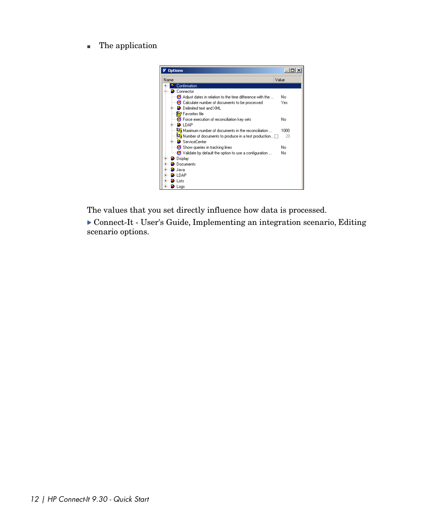**n** The application



The values that you set directly influence how data is processed.

 Connect-It - User's Guide, Implementing an integration scenario, Editing scenario options.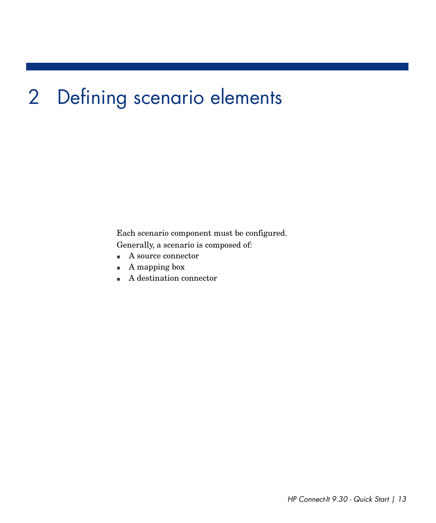# 2 Defining scenario elements

<span id="page-12-0"></span>Each scenario component must be configured.

Generally, a scenario is composed of:

- $\quad \blacksquare$  <br> A source connector
- $A$  mapping box
- $A$  destination connector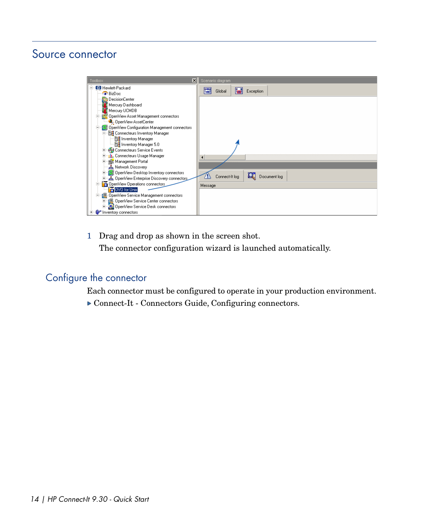### Source connector

<span id="page-13-1"></span><span id="page-13-0"></span>

| $\vert x \vert$<br>Toolbox                                                                 | Scenario diagram                                 |
|--------------------------------------------------------------------------------------------|--------------------------------------------------|
| <b>D</b> Hewlett-Packard                                                                   | EI<br>١d<br>Exception<br>Global                  |
| <b>BizDoc</b><br>DecisionCenter                                                            |                                                  |
| 恼<br>Mercury Dashboard                                                                     |                                                  |
| Mercury UCMDB                                                                              |                                                  |
| OpenView Asset Management connectors                                                       |                                                  |
| 4. OpenView AssetCenter                                                                    |                                                  |
| OpenView Configuration Management connectors                                               |                                                  |
| <b>E-BR</b> Connecteurs Inventory Manager<br><b>Eg</b> Inventory Manager                   |                                                  |
| <b>ER</b> Inventory Manager 5.0                                                            |                                                  |
| Connecteurs Service Events                                                                 |                                                  |
| <b>III.</b> Connecteurs Usage Manager                                                      | $\left  \right $                                 |
| Management Portal                                                                          |                                                  |
| <b>A</b> Network Discovery                                                                 |                                                  |
| OpenView Desktop Inventory connectors<br><b>A</b> OpenView Enterprise Discovery connectors | $\alpha$<br>Connect-It log<br>Document log<br>ÆΝ |
| OpenView Operations connectors                                                             |                                                  |
| OVO for Unix                                                                               | Message                                          |
| DpenView Service Management connectors                                                     |                                                  |
| <b>中国</b> OpenView Service Center connectors                                               |                                                  |
| DenView Service Desk connectors                                                            |                                                  |
| - IP Inventory connectors                                                                  |                                                  |

1 Drag and drop as shown in the screen shot. The connector configuration wizard is launched automatically.

## Configure the connector

Each connector must be configured to operate in your production environment.

Connect-It - Connectors Guide, Configuring connectors.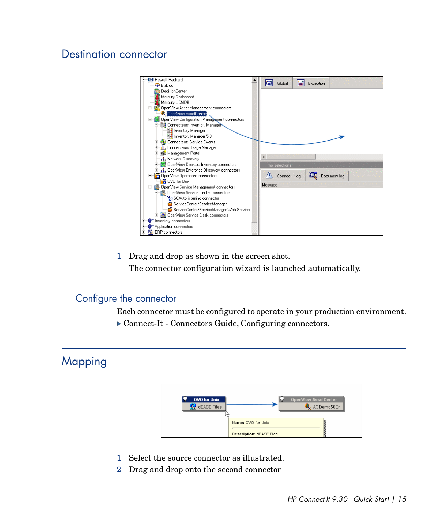### Destination connector

<span id="page-14-2"></span><span id="page-14-0"></span>

1 Drag and drop as shown in the screen shot.

The connector configuration wizard is launched automatically.

#### Configure the connector

<span id="page-14-1"></span>Each connector must be configured to operate in your production environment.

▶ Connect-It - Connectors Guide, Configuring connectors.

#### Mapping



- 1 Select the source connector as illustrated.
- 2 Drag and drop onto the second connector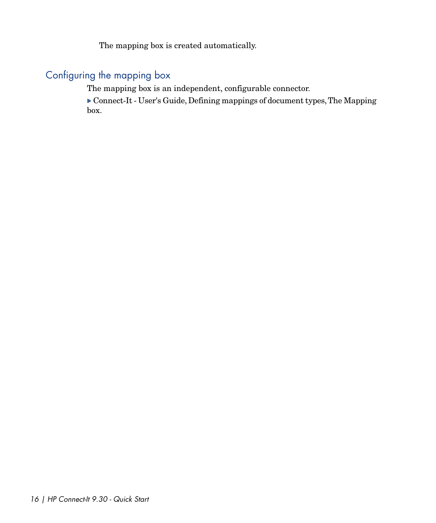The mapping box is created automatically.

#### Configuring the mapping box

<span id="page-15-0"></span>The mapping box is an independent, configurable connector.

 Connect-It - User's Guide, Defining mappings of document types,The Mapping box.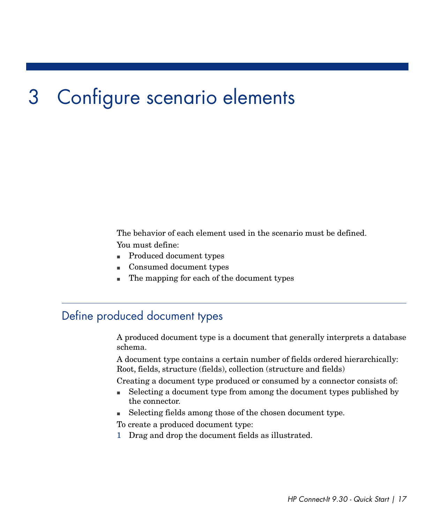# 3 Configure scenario elements

<span id="page-16-0"></span>The behavior of each element used in the scenario must be defined.

You must define:

- <span id="page-16-1"></span><sup>n</sup> Produced document types
- <sup>n</sup> Consumed document types
- <span id="page-16-2"></span>The mapping for each of the document types

### Define produced document types

A produced document type is a document that generally interprets a database schema.

A document type contains a certain number of fields ordered hierarchically: Root, fields, structure (fields), collection (structure and fields)

Creating a document type produced or consumed by a connector consists of:

- <sup>n</sup> Selecting a document type from among the document types published by the connector.
- <sup>n</sup> Selecting fields among those of the chosen document type.

To create a produced document type:

1 Drag and drop the document fields as illustrated.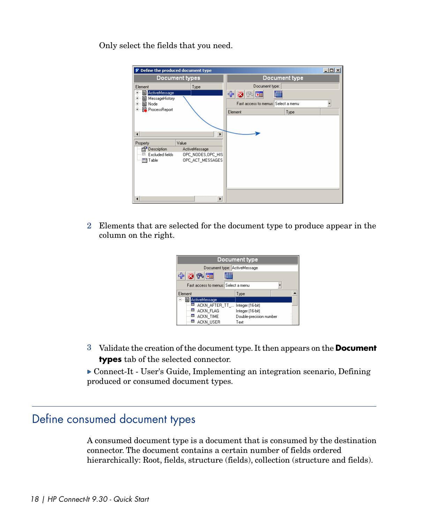Only select the fields that you need.

| Define the produced document type                                                                                                                                                                                                                                                                              |                                                                                        | $ \Box$ $\times$ |
|----------------------------------------------------------------------------------------------------------------------------------------------------------------------------------------------------------------------------------------------------------------------------------------------------------------|----------------------------------------------------------------------------------------|------------------|
| Document types                                                                                                                                                                                                                                                                                                 | Document type                                                                          |                  |
| Element<br>Type<br>图 ActiveMessage<br>$+$<br>图 MessageHistory<br>$+$<br>图 Node<br>$\begin{array}{c} + \end{array}$<br>ProcessReport<br>$+$<br>$\blacktriangleleft$<br>Value<br>Property<br>Description<br>ActiveMessage<br>芸<br>Excluded fields<br>OPC NODES, OPC HIS<br>OPC_ACT_MESSAGES<br><b>Till</b> Table | Document type:<br>中文图画<br>₩Ê<br>Fast access to menus: Select a menu<br>Type<br>Element |                  |
| $\blacktriangleleft$<br>٠                                                                                                                                                                                                                                                                                      |                                                                                        |                  |

2 Elements that are selected for the document type to produce appear in the column on the right.



<span id="page-17-0"></span><sup>3</sup> Validate the creation of the document type. It then appears on the **Document types** tab of the selected connector.

<span id="page-17-1"></span> Connect-It - User's Guide, Implementing an integration scenario, Defining produced or consumed document types.

#### Define consumed document types

A consumed document type is a document that is consumed by the destination connector. The document contains a certain number of fields ordered hierarchically: Root, fields, structure (fields), collection (structure and fields).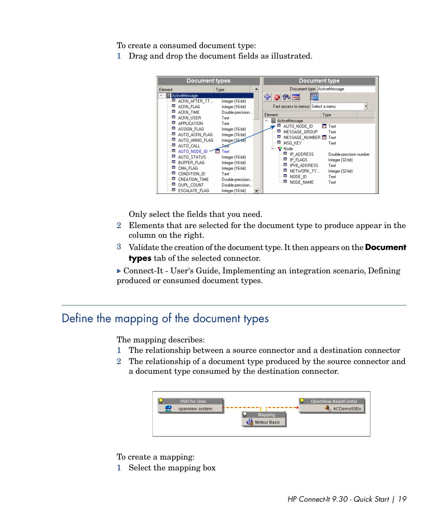To create a consumed document type:

1 Drag and drop the document fields as illustrated.



Only select the fields that you need.

- 2 Elements that are selected for the document type to produce appear in the column on the right.
- <sup>3</sup> Validate the creation of the document type. It then appears on the **Document types** tab of the selected connector.

<span id="page-18-0"></span>▶ Connect-It - User's Guide, Implementing an integration scenario, Defining produced or consumed document types.

### Define the mapping of the document types

<span id="page-18-1"></span>The mapping describes:

- 1 The relationship between a source connector and a destination connector
- 2 The relationship of a document type produced by the source connector and a document type consumed by the destination connector.



To create a mapping:

1 Select the mapping box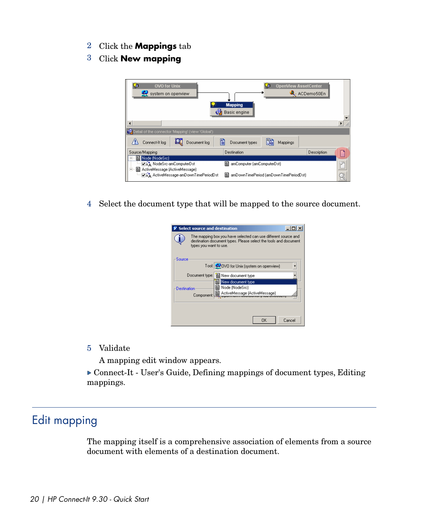- <sup>2</sup> Click the **Mappings** tab
- <sup>3</sup> Click **New mapping**



4 Select the document type that will be mapped to the source document.

|             | Select source and destination |                                                                                                                                    |    |        |
|-------------|-------------------------------|------------------------------------------------------------------------------------------------------------------------------------|----|--------|
|             | types you want to use.        | The mapping box you have selected can use different source and<br>destination document types. Please select the tools and document |    |        |
| Source      |                               | Tool: 300VD for Unix [system on openview]                                                                                          |    |        |
|             | Document type:                | New document type                                                                                                                  |    |        |
| Destination |                               | New document type<br>Node (NodeSrc)                                                                                                |    |        |
|             | Component:                    | 图 ActiveMessage (ActiveMessage)                                                                                                    |    |        |
|             |                               |                                                                                                                                    |    |        |
|             |                               |                                                                                                                                    | OK | Cancel |

<span id="page-19-0"></span>5 Validate

A mapping edit window appears.

<span id="page-19-1"></span> Connect-It - User's Guide, Defining mappings of document types, Editing mappings.

### Edit mapping

The mapping itself is a comprehensive association of elements from a source document with elements of a destination document.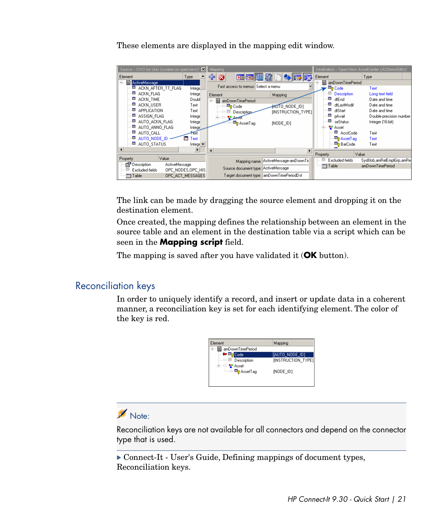These elements are displayed in the mapping edit window.



The link can be made by dragging the source element and dropping it on the destination element.

Once created, the mapping defines the relationship between an element in the source table and an element in the destination table via a script which can be seen in the **Mapping script** field.

The mapping is saved after you have validated it (**OK** button).

#### Reconciliation keys

In order to uniquely identify a record, and insert or update data in a coherent manner, a reconciliation key is set for each identifying element. The color of the key is red.



#### Note:

Reconciliation keys are not available for all connectors and depend on the connector type that is used.

▶ Connect-It - User's Guide, Defining mappings of document types, Reconciliation keys.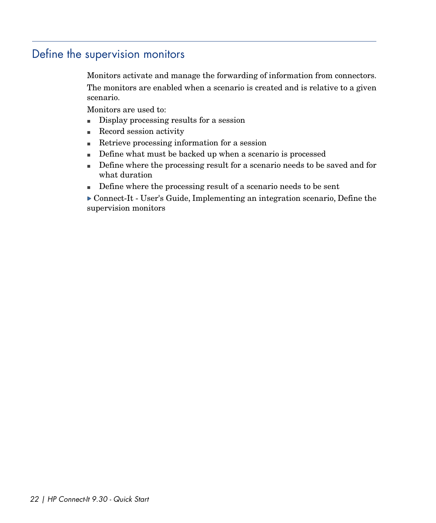# Define the supervision monitors

<span id="page-21-1"></span><span id="page-21-0"></span>Monitors activate and manage the forwarding of information from connectors. The monitors are enabled when a scenario is created and is relative to a given scenario.

Monitors are used to:

- Display processing results for a session
- **n** Record session activity
- $\blacksquare$  Retrieve processing information for a session
- Define what must be backed up when a scenario is processed
- <sup>n</sup> Define where the processing result for a scenario needs to be saved and for what duration
- $\blacksquare$  Define where the processing result of a scenario needs to be sent
- Connect-It User's Guide, Implementing an integration scenario, Define the supervision monitors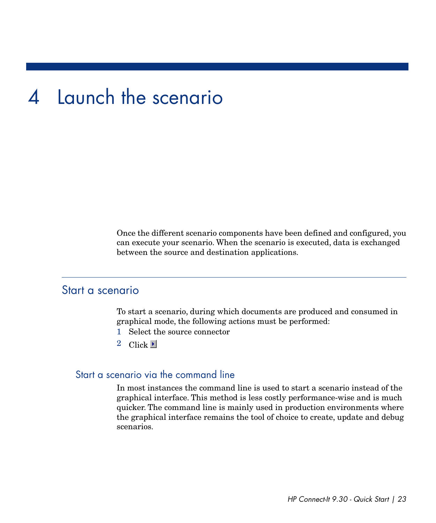# 4 Launch the scenario

<span id="page-22-1"></span><span id="page-22-0"></span>Once the different scenario components have been defined and configured, you can execute your scenario. When the scenario is executed, data is exchanged between the source and destination applications.

#### Start a scenario

To start a scenario, during which documents are produced and consumed in graphical mode, the following actions must be performed:

- 1 Select the source connector
- 2 Click  $\blacktriangleright$

#### Start a scenario via the command line

In most instances the command line is used to start a scenario instead of the graphical interface. This method is less costly performance-wise and is much quicker. The command line is mainly used in production environments where the graphical interface remains the tool of choice to create, update and debug scenarios.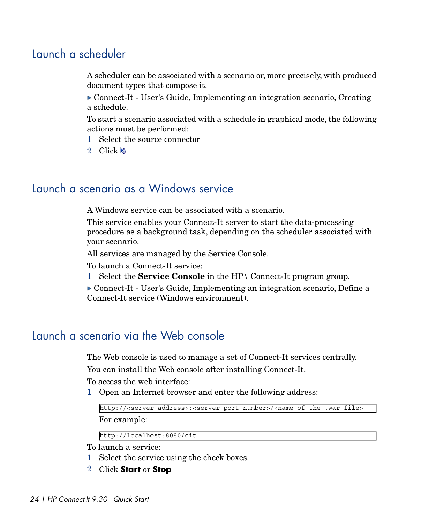## Launch a scheduler

<span id="page-23-3"></span><span id="page-23-0"></span>A scheduler can be associated with a scenario or, more precisely, with produced document types that compose it.

 Connect-It - User's Guide, Implementing an integration scenario, Creating a schedule.

To start a scenario associated with a schedule in graphical mode, the following actions must be performed:

- 1 Select the source connector
- <span id="page-23-1"></span>2 Click

### Launch a scenario as a Windows service

<span id="page-23-5"></span>A Windows service can be associated with a scenario.

This service enables your Connect-It server to start the data-processing procedure as a background task, depending on the scheduler associated with your scenario.

All services are managed by the Service Console.

To launch a Connect-It service:

<span id="page-23-2"></span>1 Select the **Service Console** in the HP\ Connect-It program group.

<span id="page-23-4"></span> Connect-It - User's Guide, Implementing an integration scenario, Define a Connect-It service (Windows environment).

### Launch a scenario via the Web console

The Web console is used to manage a set of Connect-It services centrally. You can install the Web console after installing Connect-It.

To access the web interface:

1 Open an Internet browser and enter the following address:

```
http://<server address>:<server port number>/<name of the .war file>
```
For example:

http://localhost:8080/cit

To launch a service:

- 1 Select the service using the check boxes.
- <sup>2</sup> Click **Start** or **Stop**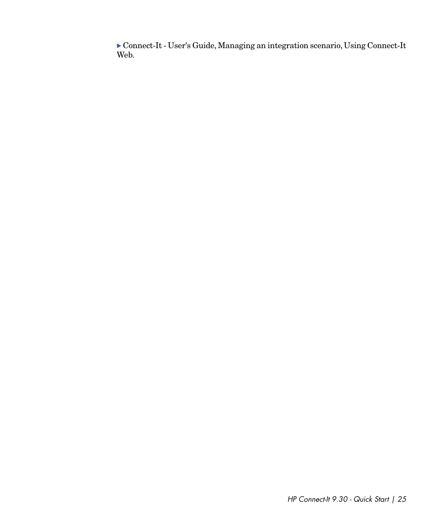Connect-It - User's Guide, Managing an integration scenario, Using Connect-It Web.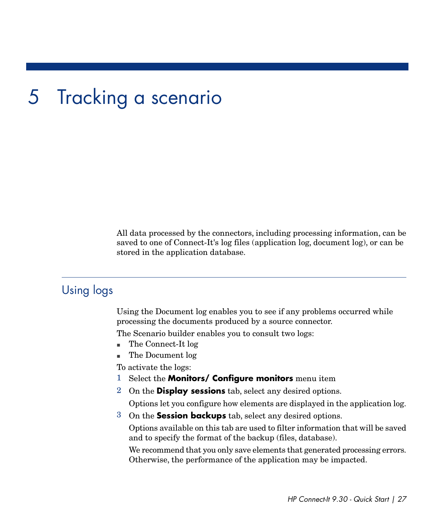# 5 Tracking a scenario

<span id="page-26-1"></span><span id="page-26-0"></span>All data processed by the connectors, including processing information, can be saved to one of Connect-It's log files (application log, document log), or can be stored in the application database.

#### Using logs

Using the Document log enables you to see if any problems occurred while processing the documents produced by a source connector.

The Scenario builder enables you to consult two logs:

- n The Connect-It log
- n The Document log

To activate the logs:

- <sup>1</sup> Select the **Monitors/ Configure monitors** menu item
- <sup>2</sup> On the **Display sessions** tab, select any desired options.

Options let you configure how elements are displayed in the application log.

<sup>3</sup> On the **Session backups** tab, select any desired options.

Options available on this tab are used to filter information that will be saved and to specify the format of the backup (files, database).

We recommend that you only save elements that generated processing errors. Otherwise, the performance of the application may be impacted.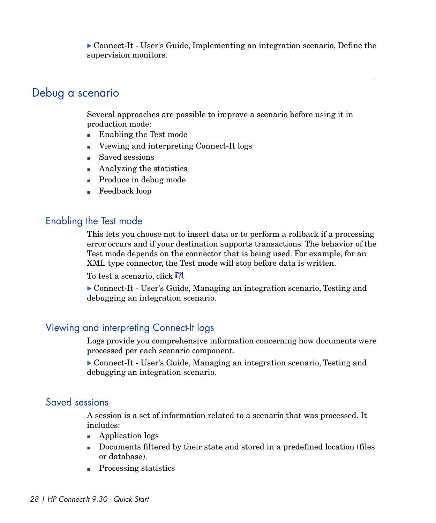<span id="page-27-0"></span> Connect-It - User's Guide, Implementing an integration scenario, Define the supervision monitors.

#### Debug a scenario

Several approaches are possible to improve a scenario before using it in production mode:

- $\blacksquare$  Enabling the Test mode
- Viewing and interpreting Connect-It logs
- saved sessions
- $\blacksquare$  Analyzing the statistics
- **n** Produce in debug mode
- Feedback loop

#### Enabling the Test mode

This lets you choose not to insert data or to perform a rollback if a processing error occurs and if your destination supports transactions. The behavior of the Test mode depends on the connector that is being used. For example, for an XML type connector, the Test mode will stop before data is written.

To test a scenario, click  $\mathbb{R}^2$ .

 Connect-It - User's Guide, Managing an integration scenario, Testing and debugging an integration scenario.

#### Viewing and interpreting Connect-It logs

Logs provide you comprehensive information concerning how documents were processed per each scenario component.

 Connect-It - User's Guide, Managing an integration scenario, Testing and debugging an integration scenario.

#### Saved sessions

A session is a set of information related to a scenario that was processed. It includes:

- $\blacksquare$  Application logs
- <sup>n</sup> Documents filtered by their state and stored in a predefined location (files or database).
- **Processing statistics**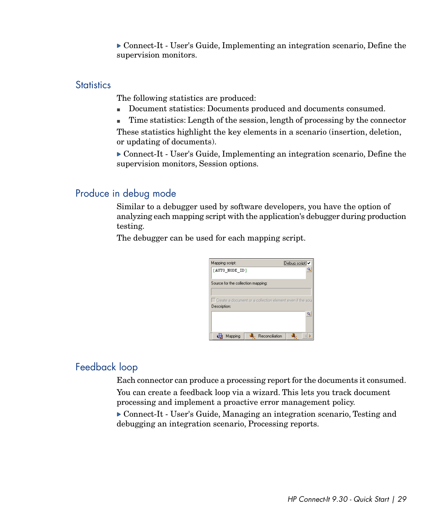Connect-It - User's Guide, Implementing an integration scenario, Define the supervision monitors.

#### **Statistics**

The following statistics are produced:

- <sup>n</sup> Document statistics: Documents produced and documents consumed.
- Time statistics: Length of the session, length of processing by the connector

These statistics highlight the key elements in a scenario (insertion, deletion, or updating of documents).

 Connect-It - User's Guide, Implementing an integration scenario, Define the supervision monitors, Session options.

#### Produce in debug mode

Similar to a debugger used by software developers, you have the option of analyzing each mapping script with the application's debugger during production testing.

The debugger can be used for each mapping script.

| Mapping script:                                           |  | Debug script |   |
|-----------------------------------------------------------|--|--------------|---|
| [AUTO NODE ID]                                            |  |              | ٥ |
| Source for the collection mapping:                        |  |              |   |
|                                                           |  |              |   |
| Create a document or a collection element even if the sou |  |              |   |
| Description:                                              |  |              |   |
|                                                           |  |              |   |
|                                                           |  |              | Q |
|                                                           |  |              |   |

#### Feedback loop

Each connector can produce a processing report for the documents it consumed. You can create a feedback loop via a wizard. This lets you track document processing and implement a proactive error management policy.

 Connect-It - User's Guide, Managing an integration scenario, Testing and debugging an integration scenario, Processing reports.